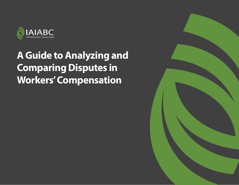

# **A Guide to Analyzing and Comparing Disputes in Workers' Compensation**

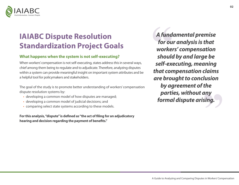

# **IAIABC Dispute Resolution Standardization Project Goals**

#### **What happens when the system is not self-executing?**

When workers' compensation is not self-executing, states address this in several ways, chief among them being to regulate and to adjudicate. Therefore, analyzing disputes within a system can provide meaningful insight on important system attributes and be a helpful tool for policymakers and stakeholders.

The goal of the study is to promote better understanding of workers' compensation dispute resolution systems by:

- developing a common model of how disputes are managed;
- developing a common model of judicial decisions; and
- comparing select state systems according to these models.

**For this analysis, "dispute" is defined as "the act of filing for an adjudicatory hearing and decision regarding the payment of benefits."**

*A fundamental premise for our analysis is that workers' compensation should by and large be self-executing, meaning that compensation claims are brought to conclusion by agreement of the parties, without any formal dispute arising.*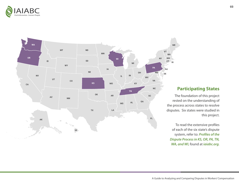



# **Participating States**

The foundation of this project rested on the understanding of the process across states to resolve disputes. Six states were studied in this project.

To read the extensive profiles of each of the six state's dispute system, refer to: *Profiles of the Dispute Process in KS, OR, PA, TN, WA, and WI,* found at *iaiabc.org.*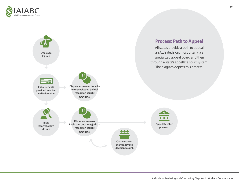

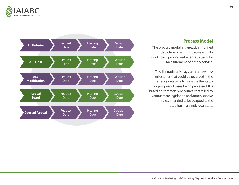

## **Process Model**

The process model is a greatly simplified depiction of administrative activity workflows, picking out events to track for measurement of timely service.

This illustration displays selected events/ milestones that could be recorded in the agency database to measure the status or progress of cases being processed. It is based on common procedures controlled by various state legislation and administrative rules. Intended to be adapted to the situation in an individual state.

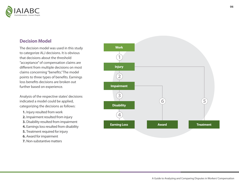

# **Decision Model**

The decision model was used in this study to categorize ALJ decisions. It is obvious that decisions about the threshold "acceptance" of compensation claims are different from multiple decisions on most claims concerning "benefits." The model points to three types of benefits. Earnings loss benefits decisions are broken out further based on experience.

Analysis of the respective states' decisions indicated a model could be applied, categorizing the decisions as follows:

- **1.** Injury resulted from work
- **2.** Impairment resulted from injury
- **3.** Disability resulted from impairment
- **4.** Earnings loss resulted from disability
- **5.** Treatment required for injury
- **6.** Award for impairment
- **7.** Non-substantive matters

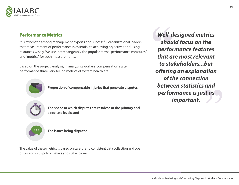

## **Performance Metrics**

It is axiomatic among management experts and successful organizational leaders that measurement of performance is essential to achieving objectives and using resources wisely. We use interchangeably the popular terms "performance measures" and "metrics" for such measurements.

Based on the project analysis, in analyzing workers' compensation system performance three very telling metrics of system health are:



**Proportion of compensable injuries that generate disputes**

**The speed at which disputes are resolved at the primary and appellate levels, and**

**...**

**The issues being disputed**

The value of these metrics is based on careful and consistent data collection and open discussion with policy makers and stakeholders.

*Well-designed metrics should focus on the performance features that are most relevant to stakeholders...but offering an explanation of the connection between statistics and performance is just as important.*